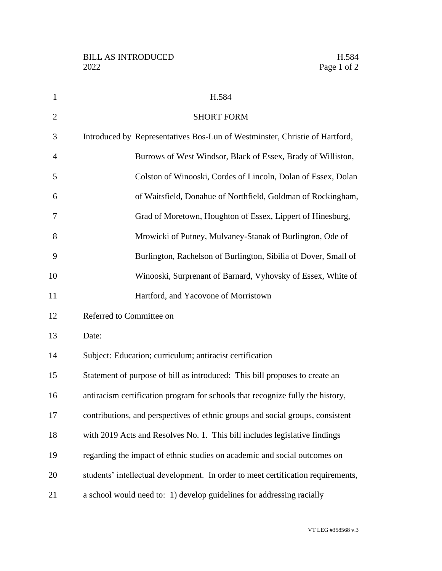| $\mathbf{1}$   | H.584                                                                            |
|----------------|----------------------------------------------------------------------------------|
| $\overline{2}$ | <b>SHORT FORM</b>                                                                |
| 3              | Introduced by Representatives Bos-Lun of Westminster, Christie of Hartford,      |
| $\overline{4}$ | Burrows of West Windsor, Black of Essex, Brady of Williston,                     |
| 5              | Colston of Winooski, Cordes of Lincoln, Dolan of Essex, Dolan                    |
| 6              | of Waitsfield, Donahue of Northfield, Goldman of Rockingham,                     |
| 7              | Grad of Moretown, Houghton of Essex, Lippert of Hinesburg,                       |
| 8              | Mrowicki of Putney, Mulvaney-Stanak of Burlington, Ode of                        |
| 9              | Burlington, Rachelson of Burlington, Sibilia of Dover, Small of                  |
| 10             | Winooski, Surprenant of Barnard, Vyhovsky of Essex, White of                     |
| 11             | Hartford, and Yacovone of Morristown                                             |
| 12             | Referred to Committee on                                                         |
| 13             | Date:                                                                            |
| 14             | Subject: Education; curriculum; antiracist certification                         |
| 15             | Statement of purpose of bill as introduced: This bill proposes to create an      |
| 16             | antiracism certification program for schools that recognize fully the history,   |
| 17             | contributions, and perspectives of ethnic groups and social groups, consistent   |
| 18             | with 2019 Acts and Resolves No. 1. This bill includes legislative findings       |
| 19             | regarding the impact of ethnic studies on academic and social outcomes on        |
| 20             | students' intellectual development. In order to meet certification requirements, |
| 21             | a school would need to: 1) develop guidelines for addressing racially            |